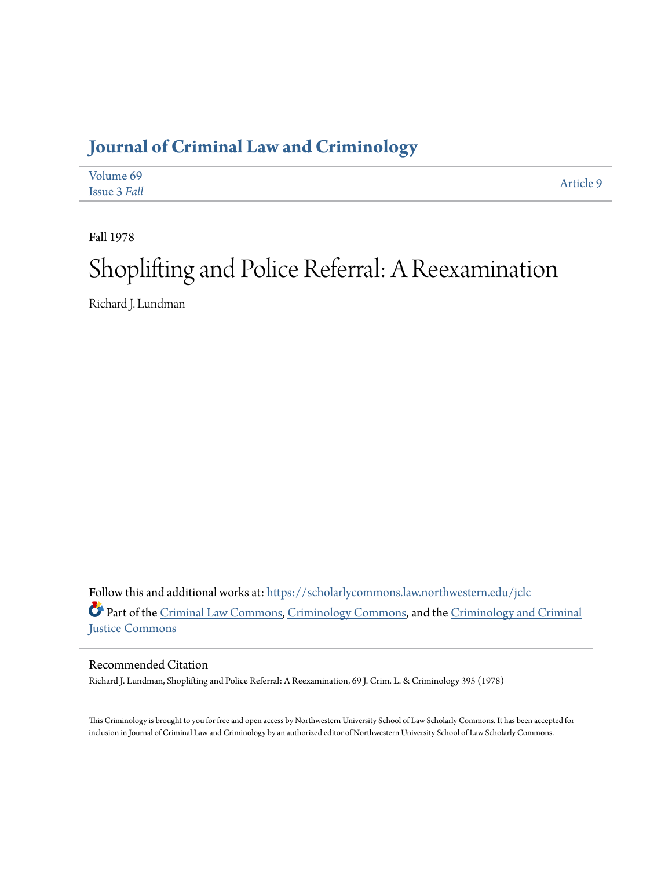# **[Journal of Criminal Law and Criminology](https://scholarlycommons.law.northwestern.edu/jclc?utm_source=scholarlycommons.law.northwestern.edu%2Fjclc%2Fvol69%2Fiss3%2F9&utm_medium=PDF&utm_campaign=PDFCoverPages)**

| Volume 69    | Article 9 |
|--------------|-----------|
| Issue 3 Fall |           |

Fall 1978

# Shoplifting and Police Referral: A Reexamination

Richard J. Lundman

Follow this and additional works at: [https://scholarlycommons.law.northwestern.edu/jclc](https://scholarlycommons.law.northwestern.edu/jclc?utm_source=scholarlycommons.law.northwestern.edu%2Fjclc%2Fvol69%2Fiss3%2F9&utm_medium=PDF&utm_campaign=PDFCoverPages) Part of the [Criminal Law Commons](http://network.bepress.com/hgg/discipline/912?utm_source=scholarlycommons.law.northwestern.edu%2Fjclc%2Fvol69%2Fiss3%2F9&utm_medium=PDF&utm_campaign=PDFCoverPages), [Criminology Commons](http://network.bepress.com/hgg/discipline/417?utm_source=scholarlycommons.law.northwestern.edu%2Fjclc%2Fvol69%2Fiss3%2F9&utm_medium=PDF&utm_campaign=PDFCoverPages), and the [Criminology and Criminal](http://network.bepress.com/hgg/discipline/367?utm_source=scholarlycommons.law.northwestern.edu%2Fjclc%2Fvol69%2Fiss3%2F9&utm_medium=PDF&utm_campaign=PDFCoverPages) [Justice Commons](http://network.bepress.com/hgg/discipline/367?utm_source=scholarlycommons.law.northwestern.edu%2Fjclc%2Fvol69%2Fiss3%2F9&utm_medium=PDF&utm_campaign=PDFCoverPages)

Recommended Citation

Richard J. Lundman, Shoplifting and Police Referral: A Reexamination, 69 J. Crim. L. & Criminology 395 (1978)

This Criminology is brought to you for free and open access by Northwestern University School of Law Scholarly Commons. It has been accepted for inclusion in Journal of Criminal Law and Criminology by an authorized editor of Northwestern University School of Law Scholarly Commons.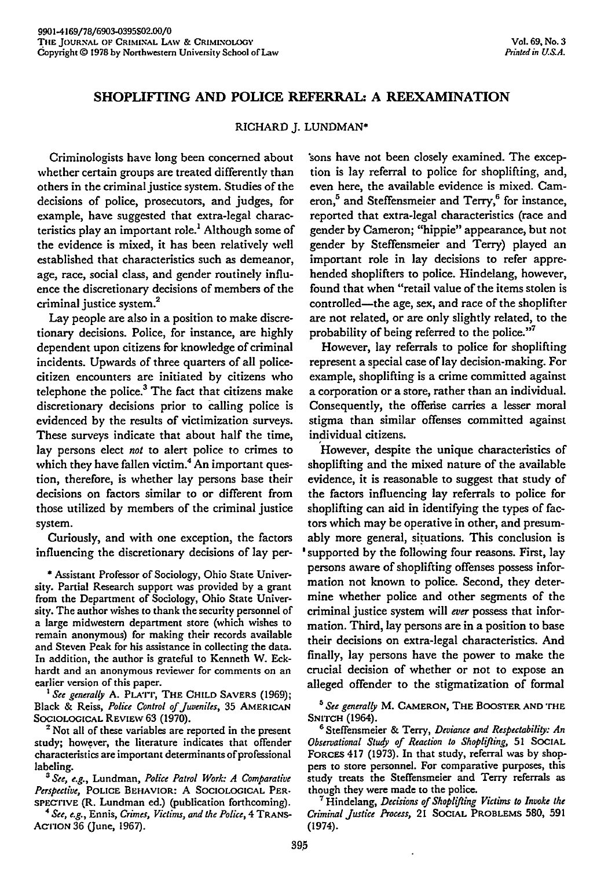# **SHOPLIFTING AND POLICE** REFERRAL: **A REEXAMINATION**

### RICHARD **J.** LUNDMAN\*

Criminologists have long been concerned about whether certain groups are treated differently than others in the criminal justice system. Studies of the decisions of police, prosecutors, and judges, for example, have suggested that extra-legal characteristics play an important role.' Although some of the evidence is mixed, it has been relatively well established that characteristics such as demeanor, age, race, social class, and gender routinely influence the discretionary decisions of members of the criminal justice system.<sup>2</sup>

Lay people are also in a position to make discretionary decisions. Police, for instance, are **highly** dependent upon citizens for knowledge of criminal incidents. Upwards of three quarters of all policecitizen encounters are initiated **by** citizens who telephone the police.<sup>3</sup> The fact that citizens make discretionary decisions prior to calling police is evidenced **by** the results of victimization surveys. These surveys indicate that about half the time, lay persons elect *not* to alert police to crimes to which they have fallen victim.<sup>4</sup> An important question, therefore, is whether lay persons base their decisions on factors similar to or different from those utilized **by** members of the criminal justice system.

Curiously, and with one exception, the factors influencing the discretionary decisions of lay per-

\* Assistant Professor of Sociology, Ohio State University. Partial Research support was provided **by** a grant from the Department of Sociology, Ohio State University. The author wishes to thank the security personnel of a large midwestern department store (which wishes to remain anonymous) for making their records available and Steven Peak for his assistance in collecting the data. In addition, the author is grateful to Kenneth W. Eckhardt and an anonymous reviewer for comments on an earlier version of this paper.

*1 See generally* **A.** PLxrrI', **THE CHILD** SAVERS **(1969);** Black & Reiss, *Police Control of Juveniles,* **35 AMERICAN SOCIOLOGICAL** REVIEW **63 (1970).**

<sup>2</sup> Not all of these variables are reported in the present study; however, the literature indicates that offender characteristics are important determinants of professional labeling.

*3 See, e.g.,* Lundman, *Police Patrol Work: A Comparative Perspective,* **POLICE BEHAVIOR:** A **SOCIOLOGICAL PER-SPECrVE** (R. Lundman ed.) (publication forthcoming).

*" See, e.g.,* Ennis, *Crimes, Victims, and the Police,* 4 **TRANS-ACTION 36** (June, **1967).**

sons have not been closely examined. The exception is lay referral to police for shoplifting, and, even here, the available evidence is mixed. Cameron,<sup>5</sup> and Steffensmeier and Terry,<sup>6</sup> for instance, reported that extra-legal characteristics (race and gender by Cameron; "hippie" appearance, but not gender by Steffensmeier and Terry) played an important role in lay decisions to refer apprehended shoplifters to police. Hindelang, however, found that when "retail value of the items stolen is controlled-the age, sex, and race of the shoplifter are not related, or are only slightly related, to the probability of being referred to the police."<sup>7</sup>

However, lay referrals to police for shoplifting represent a special case of lay decision-making. For example, shoplifting is a crime committed against a corporation or a store, rather than an individual. Consequently, the offense carries a lesser moral stigma than similar offenses committed against individual citizens.

However, despite the unique characteristics of shoplifting and the mixed nature of the available evidence, it is reasonable to suggest that study of the factors influencing lay referrals to police for shoplifting can aid in identifying the types of factors which may be operative in other, and presumably more general, situations. This conclusion is supported by the following four reasons. First, lay persons aware of shoplifting offenses possess information not known to police. Second, they determine whether police and other segments of the criminal justice system will *ever* possess that information. Third, lay persons are in a position to base their decisions on extra-legal characteristics. And finally, lay persons have the power to make the crucial decision of whether or not to expose an alleged offender to the stigmatization of formal

*<sup>5</sup>See generally* M. **CAMERON,** THE BOosTER **AND THE SNITCH** (1964). **<sup>6</sup>**Steffensmeier & Terry, *Deviance and Respectabili(y: An*

*Observational Study of Reaction to Shoplifting,* **51 SOCIAL FORCES** 417 **(1973).** In that study, referral was **by** shoppers to store personnel. For comparative purposes, this study treats the Steffensmeier and Terry referrals as

though they were made **to** the police. 7Hindelang, *Decisions of Shoplifling Victims to Invoke the Criminal Justice Process,* 21 SOCIAL **PROBLEMS 580, 591 (1974).**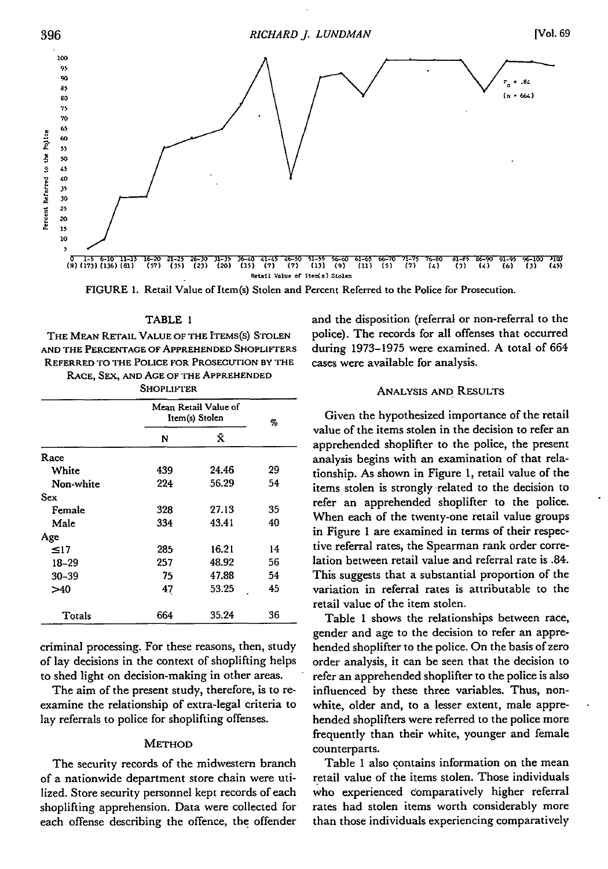

FIGURE **1.** Retail Value of Item(s) Stolen and Percent Referred to the Police for Prosecution.

#### TABLE **I**

**THE MEAN** RETAIL **VALUE OF** THE **ITEMS(S)** STOLEN **AND** THE **PERCENTAGE** OF APPREHENDED SHOPLIFTERS REFERRED **TO THE POLICE** FOR **PROSECUTION** BY THE RACE, SEX, **AND AGE** OF **THE** APPREHENDED

**SHOPLIFTER** 

|           | Mean Retail Value of<br>Item(s) Stolen | %     |    |
|-----------|----------------------------------------|-------|----|
|           | N                                      | Ÿ.    |    |
| Race      |                                        |       |    |
| White     | 439                                    | 24.46 | 29 |
| Non-white | 224                                    | 56.29 | 54 |
| Sex       |                                        |       |    |
| Female    | 328                                    | 27.13 | 35 |
| Male      | 334                                    | 43.41 | 40 |
| Age       |                                        |       |    |
| $\leq 17$ | 285                                    | 16.21 | 14 |
| $18 - 29$ | 257                                    | 48.92 | 56 |
| $30 - 39$ | 75                                     | 47.88 | 54 |
| >40       | 47                                     | 53.25 | 45 |
| Totals    | 664                                    | 35.24 | 36 |

criminal processing. For these reasons, then, study of lay decisions in the context of shoplifting helps to shed light on decision-making in other areas.

The aim of the present study, therefore, is to reexamine the relationship of extra-legal criteria to lay referrals to police for shoplifting offenses.

#### METHOD

The security records of the midwestern branch of a nationwide department store chain were utilized. Store security personnel kept records of each shoplifting apprehension. Data were collected for each offense describing the offence, the offender and the disposition (referral or non-referral to the police). The records for all offenses that occurred during **1973-1975** were examined. **A** total of 664 cases were available for analysis.

#### ANALYSIS AND RESULTS

Given the hypothesized importance of the retail value of the items stolen in the decision to refer an apprehended shoplifter to the police, the present analysis begins with an examination of that relationship. As shown in Figure **1,** retail value of the items stolen is strongly related to the decision to refer an apprehended shoplifter to the police. When each of the twenty-one retail value groups in Figure **1** are examined in terms of their respective referral rates, the Spearman rank order correlation between retail value and referral rate is .84. This suggests that a substantial proportion of the variation in referral rates is attributable to the retail value of the item stolen.

Table **1** shows the relationships between race, gender and age to the decision to refer an apprehended shoplifter to the police. On the basis of zero order analysis, it can be seen that the decision to refer an apprehended shoplifter to the police is also influenced by these three variables. Thus, nonwhite, older and, to a lesser extent, male apprehended shoplifters were referred to the police more frequently than their white, younger and female counterparts.

Table **1** also contains information on the mean retail value of the items stolen. Those individuals who experienced comparatively higher referral rates had stolen items worth considerably more than those individuals experiencing comparatively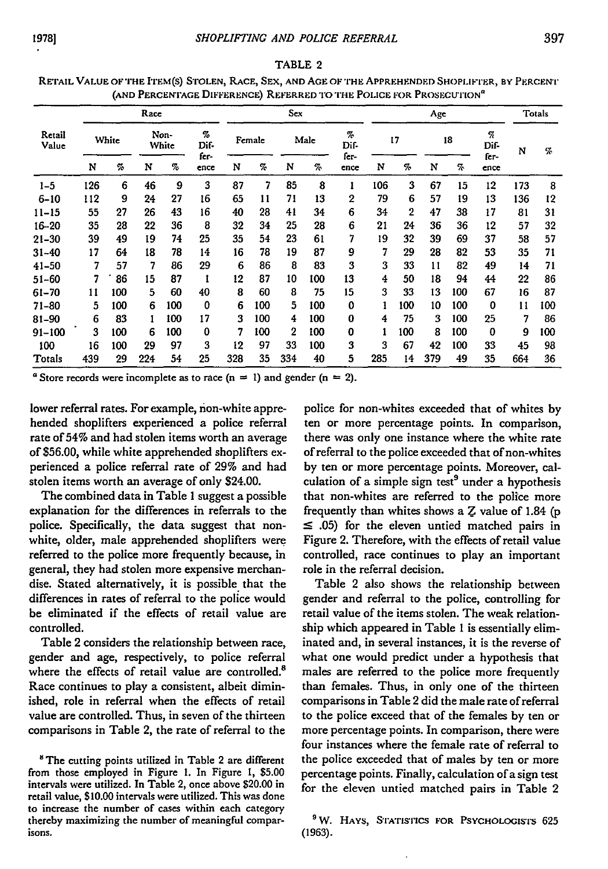397

**RErAIL** VALUE OF **THE** IrEMS) **STOLEN,** RACE, **SEX,** AND AGE **OF THE** APPREHENDED **SHOPLII'ER,** BY PERCENT (AND **PERCENT-AGE** DIFFERENCE) REFERRED TO **THE** POLICE FOR **PROSECU'IONa**

| Retail<br>Value | Race  |     |               |     |              | <b>Sex</b> |      |      |     | Age          |     |     |     |     | Totals       |     |     |
|-----------------|-------|-----|---------------|-----|--------------|------------|------|------|-----|--------------|-----|-----|-----|-----|--------------|-----|-----|
|                 | White |     | Non-<br>White |     | %<br>Dif-    | Female     |      | Male |     | %<br>Dif-    | 17  |     |     | 18  | 9<br>Dif-    | N   | %   |
|                 | N     | %   | N             | Z,  | fer-<br>ence | N          | $\%$ | N    | %   | fer-<br>ence | N   | %   | N   | q.  | fer-<br>ence |     |     |
| $1 - 5$         | 126   | 6   | 46            | 9   | 3            | 87         | 7    | 85   | 8   |              | 106 | 3   | 67  | 15  | 12           | 173 | 8   |
| $6 - 10$        | 112   | 9   | 24            | 27  | 16           | 65         | 11   | 71   | 13  | 2            | 79  | 6   | 57  | 19  | 13           | 136 | 12  |
| $11 - 15$       | 55    | 27  | 26            | 43  | 16           | 40         | 28   | 41   | 34  | 6            | 34  | 2   | 47  | 38  | 17           | 81  | 31  |
| 16-20           | 35    | 28  | 22            | 36  | 8            | 32         | 34   | 25   | 28  | 6            | 21  | 24  | 36  | 36  | 12           | 57  | 32  |
| $21 - 30$       | 39    | 49  | 19            | 74  | 25           | 35         | 54   | 23   | 61  | 7            | 19  | 32  | 39  | 69  | 37           | 58  | 57  |
| $31 - 40$       | 17    | 64  | 18            | 78  | 14           | 16         | 78   | 19   | 87  | 9            | 7   | 29  | 28  | 82  | 53           | 35  | 71  |
| $41 - 50$       | 7     | 57  | 7             | 86  | 29           | 6          | 86   | 8    | 83  | 3            | 3   | 33  | 11  | 82  | 49           | 14  | 71  |
| $51 - 60$       | 7     | 86  | 15            | 87  | 1            | 12         | 87   | 10   | 100 | 13           | 4   | 50  | 18  | 94  | 44           | 22  | 86  |
| $61 - 70$       | 11    | 100 | 5             | 60  | 40           | 8          | 60   | 8    | 75  | 15           | 3   | 33  | 13  | 100 | 67           | 16  | 87  |
| 71-80           | 5     | 100 | 6             | 100 | 0            | 6          | 100  | 5    | 100 | 0            |     | 100 | 10  | 100 | 0            | 11  | 100 |
| $81 - 90$       | 6     | 83  | 1             | 100 | 17           | 3          | 100  | 4    | 100 | 0            | 4   | 75  | 3   | 100 | 25           | 7   | 86  |
| $91 - 100$      | 3     | 100 | 6             | 100 | $\bf{0}$     | 7          | 100  | 2    | 100 | 0            |     | 100 | 8   | 100 | 0            | 9   | 100 |
| 100             | 16    | 100 | 29            | 97  | 3            | 12         | 97   | 33   | 100 | 3            | 3   | 67  | 42  | 100 | 33           | 45  | 98  |
| Totals          | 439   | 29  | 224           | 54  | 25           | 328        | 35   | 334  | 40  | 5            | 285 | 14  | 379 | 49  | 35           | 664 | 36  |

**<sup>a</sup>** Store records were incomplete as to race  $(n = 1)$  and gender  $(n = 2)$ .

lower referral rates. For example, non-white apprehended shoplifters experienced a police referral rate **of** 54% and had stolen items worth an average of **\$56.00,** while white apprehended shoplifters experienced a police referral rate of **29%** and had stolen items worth an average of only \$24.00.

The combined data in Table **1** suggest a possible explanation for the differences in referrals to the police. Specifically, the data suggest that nonwhite, older, male apprehended shoplifters were referred to the police more frequently because, in general, they had stolen more expensive merchandise. Stated alternatively, it is possible that the differences in rates of referral to the police would be eliminated if the effects of retail value are controlled.

Table 2 considers the relationship between race, gender and age, respectively, to police referral where the effects of retail value are controlled.<sup>8</sup> Race continues to play a consistent, albeit diminished, role in referral when the effects of retail value are controlled. Thus, in seven of the thirteen comparisons in Table 2, the rate of referral to the

**The** cutting points utilized in Table 2 are **different** from those employed in Figure **1.** In Figure **1, \$5.00** intervals were utilized. In Table 2, once above \$20.00 in retail value, **\$10.00** intervals were utilized. This was done to increase the number of cases within each category thereby maximizing the number of **meaningful compar**isons.

police for non-whites exceeded that of whites by ten or more percentage points. In comparison, there was only one instance where the white rate of referral to the police exceeded that of non-whites **by** ten or more percentage points. Moreover, calculation of a simple sign test<sup>9</sup> under a hypothesis that non-whites are referred to the police more frequently than whites shows a **Z** value of 1.84 **(p**  $\leq$  .05) for the eleven untied matched pairs in Figure 2. Therefore, with the effects of retail value controlled, race continues to play an important role in the referral decision.

Table 2 also shows the relationship between gender and referral to the police, controlling for retail value of the items stolen. The weak relationship which appeared in Table **1** is essentially eliminated and, in several instances, it is the reverse of what one would predict under a hypothesis that males are referred to the police more frequently than females. Thus, in only one of the thirteen comparisons in Table 2 did the male rate of referral to the police exceed that of the females **by** ten or more percentage points. In comparison, there were four instances where the female rate of referral to the police exceeded that of males **by** ten or more percentage points. Finally, calculation of a sign test for the eleven untied matched pairs in Table 2

<sup>&</sup>lt;sup>9</sup>W. Hays, Statistics for Psychologists 625 **(1963).**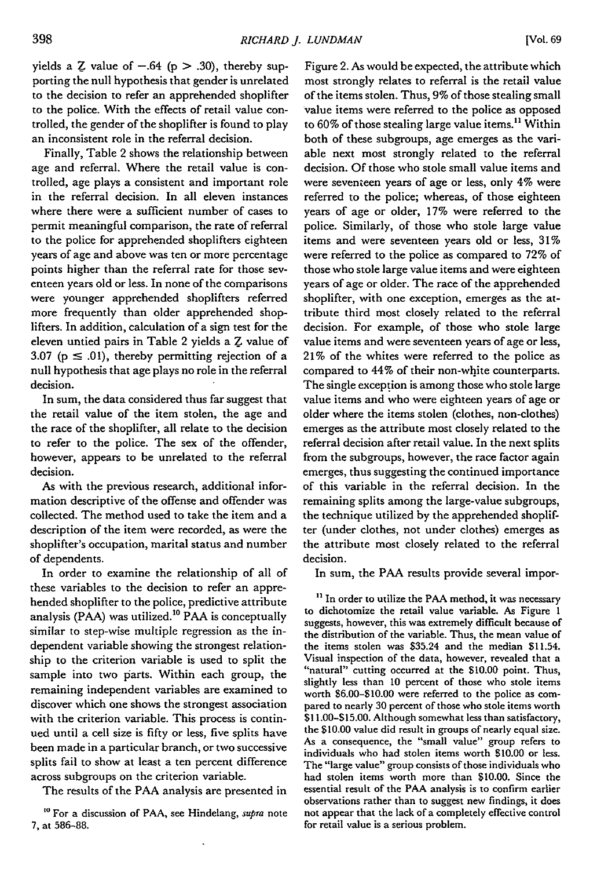yields a Z value of  $-.64$  (p  $> .30$ ), thereby supporting the null hypothesis that gender is unrelated to the decision to refer an apprehended shoplifter to the police. With the effects of retail value controlled, the gender of the shoplifter is found to play an inconsistent role in the referral decision.

Finally, Table 2 shows the relationship between age and referral. Where the retail value is controlled, age plays a consistent and important role in the referral decision. In all eleven instances where there were a sufficient number of cases to permit meaningful comparison, the rate of referral to the police for apprehended shoplifters eighteen years of age and above was ten or more percentage points higher than the referral rate for those seventeen years old or less. In none of the comparisons were younger apprehended shoplifters referred more frequently than older apprehended shoplifters. In addition, calculation of a sign test for the eleven untied pairs in Table 2 yields a Z value of 3.07 ( $p \le 0.01$ ), thereby permitting rejection of a null hypothesis that age plays no role in the referral decision.

In sum, the data considered thus far suggest that the retail value of the item stolen, the age and the race of the shoplifter, all relate to the decision to refer to the police. The sex of the offender, however, appears to be unrelated to the referral decision.

As with the previous research, additional information descriptive of the offense and offender was collected. The method used to take the item and a description of the item were recorded, as were the shoplifter's occupation, marital status and number of dependents.

In order to examine the relationship of all of these variables to the decision to refer an apprehended shoplifter to the police, predictive attribute analysis (PAA) was utilized.'0 **PAA** is conceptually similar to step-wise multiple regression as the independent variable showing the strongest relationship to the criterion variable is used to split the sample into two parts. Within each group, the remaining independent variables are examined to discover which one shows the strongest association with the criterion variable. This process is continued until a cell size is fifty or less, five splits have been made in a particular branch, or two successive splits fail to show at least a ten percent difference across subgroups on the criterion variable.

The results of the PAA analysis are presented in

**"S** For a discussion of **PAA,** see Hindelang, *supra* note 7, at 586-88.

Figure 2. As would be expected, the attribute which most strongly relates to referral is the retail value of the items stolen. Thus, 9% of those stealing small value items were referred to the police as opposed to 60% of those stealing large value items.<sup>11</sup> Within both of these subgroups, age emerges as the variable next most strongly related to the referral decision. Of those who stole small value items and were seventeen years of age or less, only 4% were referred to the police; whereas, of those eighteen years of age or older, 17% were referred to the police. Similarly, of those who stole large value items and were seventeen years old or less, 31% were referred to the police as compared to 72% of those who stole large value items and were eighteen years of age or older. The race of the apprehended shoplifter, with one exception, emerges as the attribute third most closely related to the referral decision. For example, of those who stole large value items and were seventeen years of age or less, 21% of the whites were referred to the police as compared to 44% of their non-white counterparts. The single exception is among those who stole large value items and who were eighteen years of age or older where the items stolen (clothes, non-clothes) emerges as the attribute most closely related to the referral decision after retail value. In the next splits from the subgroups, however, the race factor again emerges, thus suggesting the continued importance of this variable in the referral decision. In the remaining splits among the large-value subgroups, the technique utilized by the apprehended shoplifter (under clothes, not under clothes) emerges as the attribute most closely related to the referral decision.

In sum, the PAA results provide several impor-

**"** In order to utilize the PAA method, it was necessary to dichotomize the retail value variable. As Figure **1** suggests, however, this was extremely difficult because of the distribution of the variable. Thus, the mean value of the items stolen was \$35.24 and the median \$11.54. Visual inspection of the data, however, revealed that a "natural" cutting occurred at the \$10.00 point. Thus, slightly less than 10 percent of those who stole items worth \$6.00-\$10.00 were referred to the police as com-<br>pared to nearly 30 percent of those who stole items worth \$11.00-\$15.00. Although somewhat less than satisfactory, the \$10.00 value did result in groups of nearly equal size. As a consequence, the "small value" group refers to individuals who had stolen items worth \$10.00 or less. The "large value" group consists of those individuals who had stolen items worth more than \$10.00. Since the essential result of the PAA analysis is to confirm earlier observations rather than to suggest new findings, it does not appear that the lack of a completely effective control for retail value is a serious problem.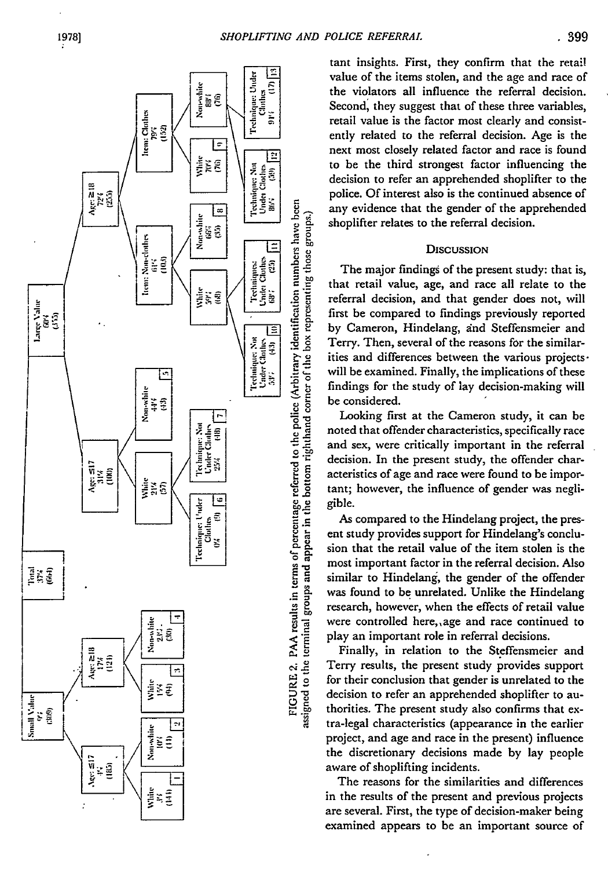assigned to the terminal groups and appear in the bottom righthand corner of the box representing those groups.)



tant insights. First, they confirm that the retail value of the items stolen, and the age and race of the violators all influence the referral decision. Second, they suggest that of these three variables, retail value is the factor most clearly and consistently related to the referral decision. Age is the next most closely related factor and race is found to be the third strongest factor influencing the decision to refer an apprehended shoplifter to the police. Of interest also is the continued absence of any evidence that the gender of the apprehended shoplifter relates to the referral decision.

## **DISCUSSION**

The major findings of the present study: that is, that retail value, age, and race all relate to the referral decision, and that gender does not, will first be compared to findings previously reported **• by** Cameron, Hindelang, dnd Steffensmeier and Terry. Then, several of the reasons for the similarities and differences between the various projectswill be examined. Finally, the implications of these findings for the study of lay decision-making will be considered.

Looking first at the Cameron study, it can be noted that offender characteristics, specifically race **- .r** and sex, were critically important in the referral **<sup>0</sup>**<sup>t</sup> decision. In the present study, the offender characteristics of age and race were found to be important; however, the influence of gender was negligible.

As compared to the Hindelang project, the present study provides support for Hindelang's conclusion that the retail value of the item stolen is the **. <sup>a</sup>**most important factor in the referral decision. Also *,* **'** similar to Hindelang, the gender of the offender was found to be unrelated. Unlike the Hindelang research, however, when the effects of retail value were controlled here, ,age and race continued to play an important role in referral decisions.

Finally, in relation to the Steffensmeier and Terry results, the present study provides support for their conclusion that gender is unrelated to the decision to refer an apprehended shoplifter to authorities. The present study also confirms that ex**c** tra-legal characteristics (appearance in the earlier project, and age and race in the present) influence the discretionary decisions made **by** lay people aware of shoplifting incidents.

The reasons for the similarities and differences in the results of the present and previous projects are several. First, the type of decision-maker being examined appears to be an important source of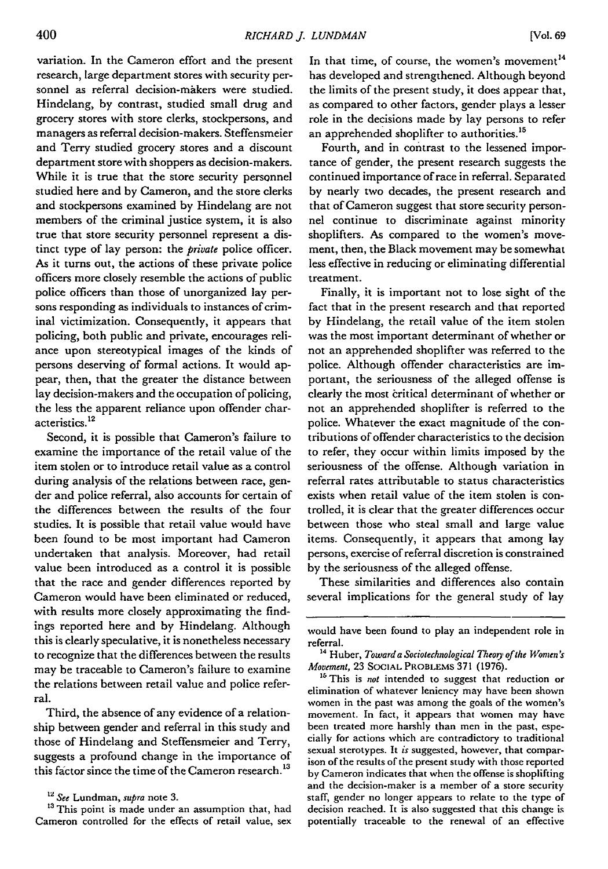variation. In the Cameron effort and the present research, large department stores with security personnel as referral decision-makers were studied. Hindelang, by contrast, studied small drug and grocery stores with store clerks, stockpersons, and managers as referral decision-makers. Steffensmeier and Terry studied grocery stores and a discount department store with shoppers as decision-makers. While it is true that the store security personnel studied here and by Cameron, and the store clerks and stockpersons examined by Hindelang are not members of the criminal justice system, it is also true that store security personnel represent a distinct type of lay person: the *private* police officer. As it turns out, the actions of these private police officers more closely resemble the actions of public police officers than those of unorganized lay persons responding as individuals to instances of criminal victimization. Consequently, it appears that policing, both public and private, encourages reliance upon stereotypical images of the kinds of persons deserving of formal actions. It would appear, then, that the greater the distance between lay decision-makers and the occupation of policing, the less the apparent reliance upon offender characteristics.<sup>12</sup>

Second, it is possible that Cameron's failure to examine the importance of the retail value of the item stolen or to introduce retail value as a control during analysis of the relations between race, gender and police referral, also accounts for certain of the differences between the results of the four studies. It is possible that retail value would have been found to be most important had Cameron undertaken that analysis. Moreover, had retail value been introduced as a control it is possible that the race and gender differences reported **by** Cameron would have been eliminated or reduced, with results more closely approximating the findings reported here and **by** Hindelang. Although this is clearly speculative, it is nonetheless necessary to recognize that the differences between the results may be traceable to Cameron's failure to examine the relations between retail value and police referral.

Third, the absence of any evidence of a relationship between gender and referral in this study and those of Hindelang and Steffensmeier and Terry, suggests a profound change in the importance of this factor since the time of the Cameron research.<sup>13</sup>

<sup>13</sup> This point is made under an assumption that, had Cameron controlled for the effects of retail value, sex

In that time, of course, the women's movement $<sup>14</sup>$ </sup> has developed and strengthened. Although beyond the limits of the present study, it does appear that, as compared to other factors, gender plays a lesser role in the decisions made by lay persons to refer an apprehended shoplifter to authorities.'<sup>5</sup>

Fourth, and in contrast to the lessened importance of gender, the present research suggests the continued importance of race in referral. Separated by nearly two decades, the present research and that of Cameron suggest that store security personnel continue to discriminate against minority shoplifters. As compared to the women's movement, then, the Black movement may be somewhat less effective in reducing or eliminating differential treatment.

Finally, it is important not to lose sight of the fact that in the present research and that reported by Hindelang, the retail value of the item stolen was the most important determinant of whether or not an apprehended shoplifter was referred to the police. Although offender characteristics are important, the seriousness of the alleged offense is clearly the most critical determinant of whether or not an apprehended shoplifter is referred to the police. Whatever the exact magnitude of the contributions of offender characteristics to the decision to refer, they occur within limits imposed by the seriousness of the offense. Although variation in referral rates attributable to status characteristics exists when retail value of the item stolen is controlled, it is clear that the greater differences occur between those who steal small and large value items. Consequently, it appears that among lay persons, exercise of referral discretion is constrained by the seriousness of the alleged offense.

These similarities and differences also contain several implications for the general study of lay

**5** This is *not* intended to suggest that reduction or elimination of whatever leniency may have been shown women in the past was among the goals of the women's movement. In fact, it appears that women may have been treated more harshly than men in the past, especially for actions which are contradictory to traditional sexual sterotypes. It *is* suggested, however, that comparison of the results of the present study with those reported by Cameron indicates that when the offense is shoplifting and the decision-maker is a member of a store security staff, gender no longer appears to relate to the type of decision reached. It is also suggested that this change is potentially traceable to the renewal of an effective

*<sup>1&</sup>quot; See* Lundman, *supra* note 3.

would have been found to play an independent role in referral. **"4** Huber, *Toward* a Sociotechnological Theo*O,* of the Women's

Movement, 23 **SOCIAL** PROBLEMS **371** (1976).